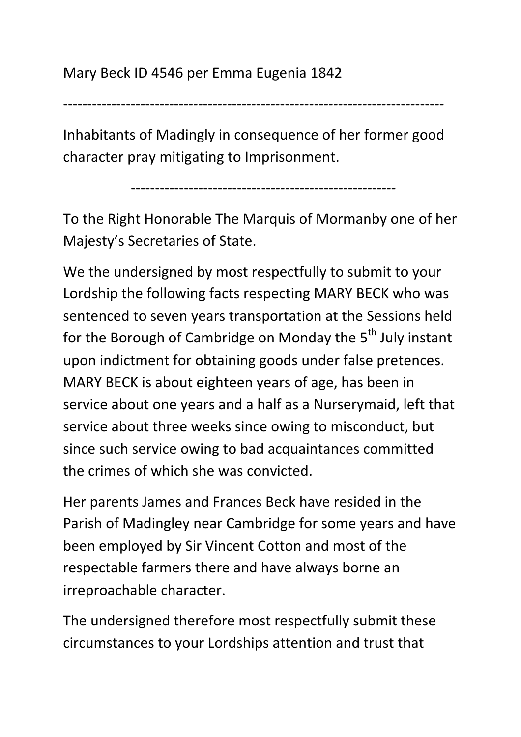-------------------------------------------------------------------------------

Inhabitants of Madingly in consequence of her former good character pray mitigating to Imprisonment.

-------------------------------------------------------

To the Right Honorable The Marquis of Mormanby one of her Majesty's Secretaries of State.

We the undersigned by most respectfully to submit to your Lordship the following facts respecting MARY BECK who was sentenced to seven years transportation at the Sessions held for the Borough of Cambridge on Monday the  $5<sup>th</sup>$  July instant upon indictment for obtaining goods under false pretences. MARY BECK is about eighteen years of age, has been in service about one years and a half as a Nurserymaid, left that service about three weeks since owing to misconduct, but since such service owing to bad acquaintances committed the crimes of which she was convicted.

Her parents James and Frances Beck have resided in the Parish of Madingley near Cambridge for some years and have been employed by Sir Vincent Cotton and most of the respectable farmers there and have always borne an irreproachable character.

The undersigned therefore most respectfully submit these circumstances to your Lordships attention and trust that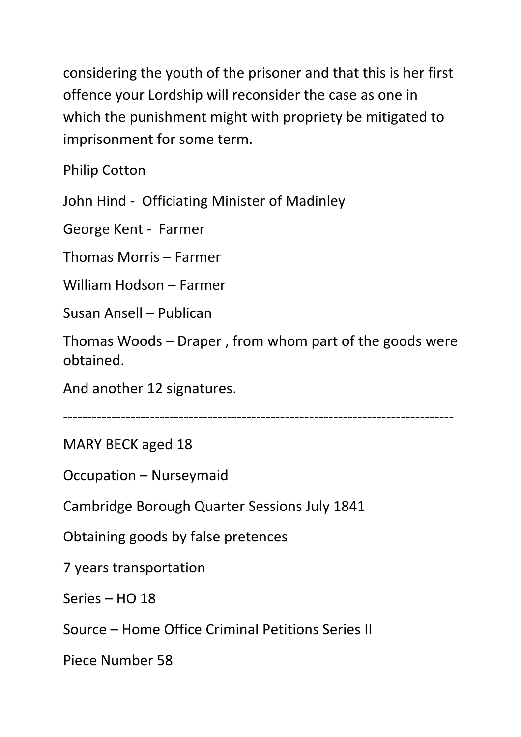considering the youth of the prisoner and that this is her first offence your Lordship will reconsider the case as one in which the punishment might with propriety be mitigated to imprisonment for some term.

Philip Cotton

John Hind - Officiating Minister of Madinley

George Kent - Farmer

Thomas Morris – Farmer

William Hodson – Farmer

Susan Ansell – Publican

Thomas Woods – Draper , from whom part of the goods were obtained.

And another 12 signatures.

---------------------------------------------------------------------------------

MARY BECK aged 18

Occupation – Nurseymaid

Cambridge Borough Quarter Sessions July 1841

Obtaining goods by false pretences

7 years transportation

Series – HO 18

Source – Home Office Criminal Petitions Series II

Piece Number 58